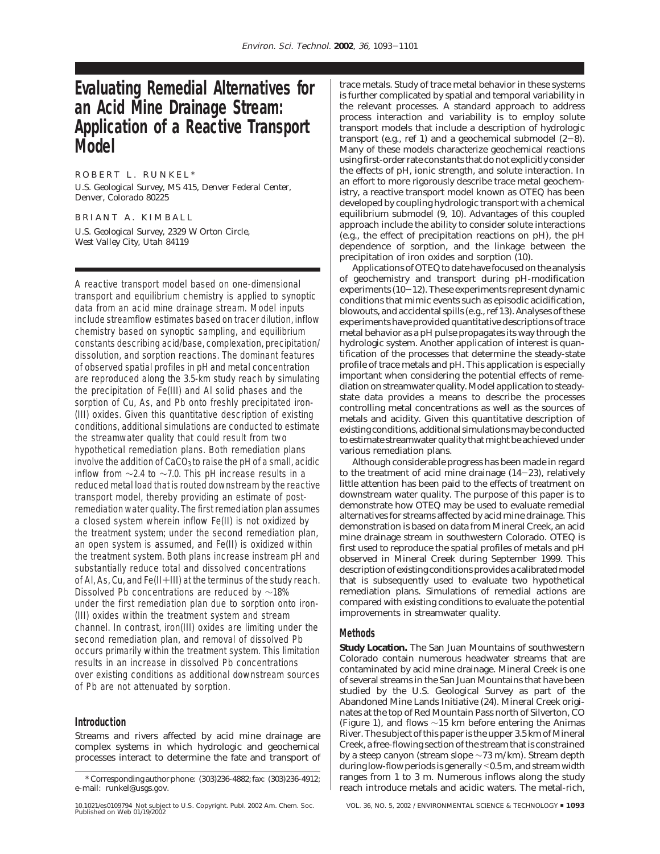# **Evaluating Remedial Alternatives for an Acid Mine Drainage Stream: Application of a Reactive Transport Model**

ROBERT L. RUNKEL\*

*U.S. Geological Survey, MS 415, Denver Federal Center, Denver, Colorado 80225*

BRIANT A. KIMBALL

*U.S. Geological Survey, 2329 W Orton Circle, West Valley City, Utah 84119*

A reactive transport model based on one-dimensional transport and equilibrium chemistry is applied to synoptic data from an acid mine drainage stream. Model inputs include streamflow estimates based on tracer dilution, inflow chemistry based on synoptic sampling, and equilibrium constants describing acid/base, complexation, precipitation/ dissolution, and sorption reactions. The dominant features of observed spatial profiles in pH and metal concentration are reproduced along the 3.5-km study reach by simulating the precipitation of Fe(III) and Al solid phases and the sorption of Cu, As, and Pb onto freshly precipitated iron- (III) oxides. Given this quantitative description of existing conditions, additional simulations are conducted to estimate the streamwater quality that could result from two hypothetical remediation plans. Both remediation plans involve the addition of  $CaCO<sub>3</sub>$  to raise the pH of a small, acidic inflow from ∼2.4 to ∼7.0. This pH increase results in a reduced metal load that is routed downstream by the reactive transport model, thereby providing an estimate of postremediation water quality. The first remediation plan assumes a closed system wherein inflow Fe(II) is not oxidized by the treatment system; under the second remediation plan, an open system is assumed, and Fe(II) is oxidized within the treatment system. Both plans increase instream pH and substantially reduce total and dissolved concentrations of Al, As, Cu, and Fe(II+III) at the terminus of the study reach. Dissolved Pb concentrations are reduced by ∼18% under the first remediation plan due to sorption onto iron- (III) oxides within the treatment system and stream channel. In contrast, iron(III) oxides are limiting under the second remediation plan, and removal of dissolved Pb occurs primarily within the treatment system. This limitation results in an increase in dissolved Pb concentrations over existing conditions as additional downstream sources of Pb are not attenuated by sorption.

### **Introduction**

Streams and rivers affected by acid mine drainage are complex systems in which hydrologic and geochemical processes interact to determine the fate and transport of trace metals. Study of trace metal behavior in these systems is further complicated by spatial and temporal variability in the relevant processes. A standard approach to address process interaction and variability is to employ solute transport models that include a description of hydrologic transport (e.g., ref *<sup>1</sup>*) and a geochemical submodel (*2*-*8*). Many of these models characterize geochemical reactions using first-order rate constants that do not explicitly consider the effects of pH, ionic strength, and solute interaction. In an effort to more rigorously describe trace metal geochemistry, a reactive transport model known as OTEQ has been developed by coupling hydrologic transport with a chemical equilibrium submodel (*9*, *10*). Advantages of this coupled approach include the ability to consider solute interactions (e.g., the effect of precipitation reactions on pH), the pH dependence of sorption, and the linkage between the precipitation of iron oxides and sorption (*10*).

Applications of OTEQ to date have focused on the analysis of geochemistry and transport during pH-modification experiments (*10*-*12*). These experiments represent dynamic conditions that mimic events such as episodic acidification, blowouts, and accidental spills (e.g., ref *13*). Analyses of these experiments have provided quantitative descriptions of trace metal behavior as a pH pulse propagates its way through the hydrologic system. Another application of interest is quantification of the processes that determine the steady-state profile of trace metals and pH. This application is especially important when considering the potential effects of remediation on streamwater quality. Model application to steadystate data provides a means to describe the processes controlling metal concentrations as well as the sources of metals and acidity. Given this quantitative description of existing conditions, additional simulations may be conducted to estimate streamwater quality that might be achieved under various remediation plans.

Although considerable progress has been made in regard to the treatment of acid mine drainage (*14*-*23*), relatively little attention has been paid to the effects of treatment on downstream water quality. The purpose of this paper is to demonstrate how OTEQ may be used to evaluate remedial alternatives for streams affected by acid mine drainage. This demonstration is based on data from Mineral Creek, an acid mine drainage stream in southwestern Colorado. OTEQ is first used to reproduce the spatial profiles of metals and pH observed in Mineral Creek during September 1999. This description of existing conditions provides a calibrated model that is subsequently used to evaluate two hypothetical remediation plans. Simulations of remedial actions are compared with existing conditions to evaluate the potential improvements in streamwater quality.

### **Methods**

**Study Location.** The San Juan Mountains of southwestern Colorado contain numerous headwater streams that are contaminated by acid mine drainage. Mineral Creek is one of several streams in the San Juan Mountains that have been studied by the U.S. Geological Survey as part of the Abandoned Mine Lands Initiative (*24*). Mineral Creek originates at the top of Red Mountain Pass north of Silverton, CO (Figure 1), and flows ∼15 km before entering the Animas River. The subject of this paper is the upper 3.5 km of Mineral Creek, a free-flowing section of the stream that is constrained by a steep canyon (stream slope ∼73 m/km). Stream depth during low-flow periods is generally<0.5 m, and stream width ranges from 1 to 3 m. Numerous inflows along the study reach introduce metals and acidic waters. The metal-rich,

<sup>\*</sup> Corresponding author phone: (303)236-4882; fax: (303)236-4912; e-mail: runkel@usgs.gov.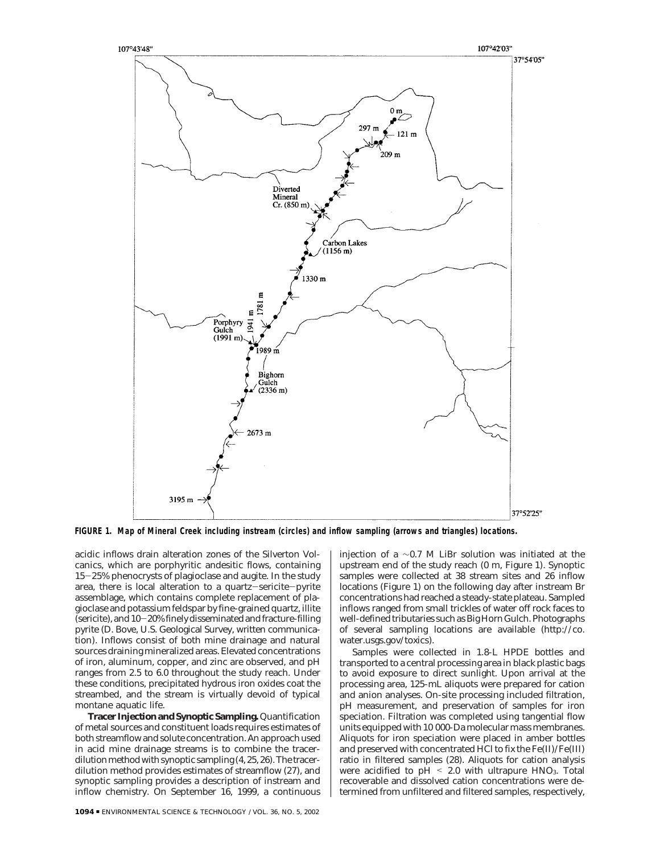

**FIGURE 1. Map of Mineral Creek including instream (circles) and inflow sampling (arrows and triangles) locations.**

acidic inflows drain alteration zones of the Silverton Volcanics, which are porphyritic andesitic flows, containing <sup>15</sup>-25% phenocrysts of plagioclase and augite. In the study area, there is local alteration to a quartz-sericite-pyrite assemblage, which contains complete replacement of plagioclase and potassium feldspar by fine-grained quartz, illite (sericite), and 10-20% finely disseminated and fracture-filling pyrite (D. Bove, U.S. Geological Survey, written communication). Inflows consist of both mine drainage and natural sources draining mineralized areas. Elevated concentrations of iron, aluminum, copper, and zinc are observed, and pH ranges from 2.5 to 6.0 throughout the study reach. Under these conditions, precipitated hydrous iron oxides coat the streambed, and the stream is virtually devoid of typical montane aquatic life.

**Tracer Injection and Synoptic Sampling.** Quantification of metal sources and constituent loads requires estimates of both streamflow and solute concentration. An approach used in acid mine drainage streams is to combine the tracerdilution method with synoptic sampling (*4*, *25*, *26*). The tracerdilution method provides estimates of streamflow (*27*), and synoptic sampling provides a description of instream and inflow chemistry. On September 16, 1999, a continuous

injection of a ∼0.7 M LiBr solution was initiated at the upstream end of the study reach (0 m, Figure 1). Synoptic samples were collected at 38 stream sites and 26 inflow locations (Figure 1) on the following day after instream Br concentrations had reached a steady-state plateau. Sampled inflows ranged from small trickles of water off rock faces to well-defined tributaries such as Big Horn Gulch. Photographs of several sampling locations are available (http://co. water.usgs.gov/toxics).

Samples were collected in 1.8-L HPDE bottles and transported to a central processing area in black plastic bags to avoid exposure to direct sunlight. Upon arrival at the processing area, 125-mL aliquots were prepared for cation and anion analyses. On-site processing included filtration, pH measurement, and preservation of samples for iron speciation. Filtration was completed using tangential flow units equipped with 10 000-Da molecular mass membranes. Aliquots for iron speciation were placed in amber bottles and preserved with concentrated HCl to fix the Fe(II)/Fe(III) ratio in filtered samples (*28*). Aliquots for cation analysis were acidified to  $pH < 2.0$  with ultrapure HNO<sub>3</sub>. Total recoverable and dissolved cation concentrations were determined from unfiltered and filtered samples, respectively,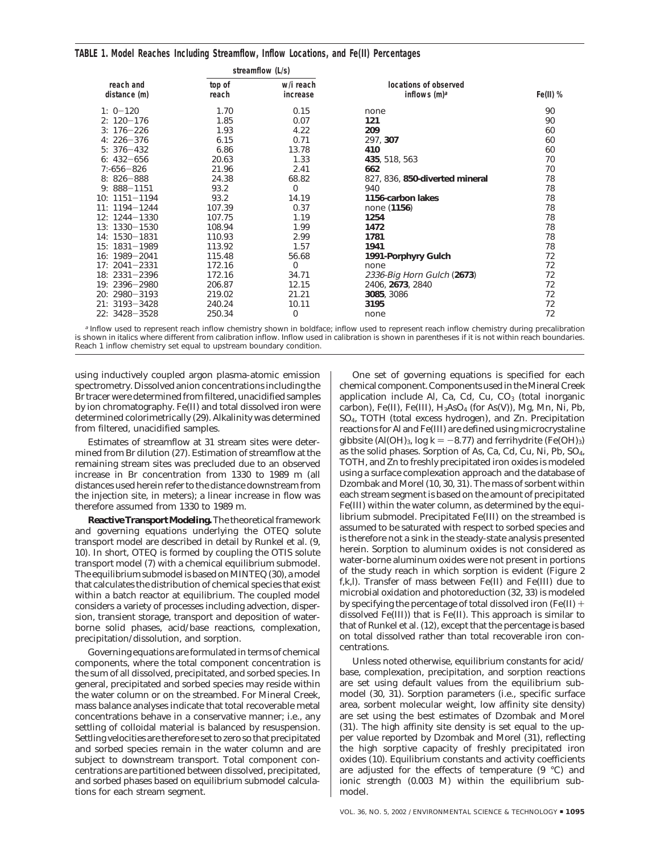### **TABLE 1. Model Reaches Including Streamflow, Inflow Locations, and Fe(II) Percentages**

|                           | streamflow (L/s) |                       |                                          |            |
|---------------------------|------------------|-----------------------|------------------------------------------|------------|
| reach and<br>distance (m) | top of<br>reach  | w/i reach<br>increase | locations of observed<br>inflows $(m)^a$ | Fe(II) $%$ |
| $1: 0 - 120$              | 1.70             | 0.15                  | none                                     | 90         |
| $2: 120 - 176$            | 1.85             | 0.07                  | 121                                      | 90         |
| $3: 176 - 226$            | 1.93             | 4.22                  | 209                                      | 60         |
| $4:226 - 376$             | 6.15             | 0.71                  | 297, 307                                 | 60         |
| $5:376 - 432$             | 6.86             | 13.78                 | 410                                      | 60         |
| $6: 432 - 656$            | 20.63            | 1.33                  | 435, 518, 563                            | 70         |
| $7: -656 - 826$           | 21.96            | 2.41                  | 662                                      | 70         |
| $8:826 - 888$             | 24.38            | 68.82                 | 827, 836, 850-diverted mineral           | 78         |
| $9:888 - 1151$            | 93.2             | $\Omega$              | 940                                      | 78         |
| $10: 1151 - 1194$         | 93.2             | 14.19                 | 1156-carbon lakes                        | 78         |
| $11: 1194 - 1244$         | 107.39           | 0.37                  | none (1156)                              | 78         |
| 12: 1244-1330             | 107.75           | 1.19                  | 1254                                     | 78         |
| $13: 1330 - 1530$         | 108.94           | 1.99                  | 1472                                     | 78         |
| $14: 1530 - 1831$         | 110.93           | 2.99                  | 1781                                     | 78         |
| $15: 1831 - 1989$         | 113.92           | 1.57                  | 1941                                     | 78         |
| $16: 1989 - 2041$         | 115.48           | 56.68                 | 1991-Porphyry Gulch                      | 72         |
| $17:2041 - 2331$          | 172.16           | $\Omega$              | none                                     | 72         |
| $18: 2331 - 2396$         | 172.16           | 34.71                 | 2336-Big Horn Gulch (2673)               | 72         |
| $19:2396 - 2980$          | 206.87           | 12.15                 | 2406, 2673, 2840                         | 72         |
| 20: 2980-3193             | 219.02           | 21.21                 | 3085, 3086                               | 72         |
| $21: 3193 - 3428$         | 240.24           | 10.11                 | 3195                                     | 72         |
| $22: 3428 - 3528$         | 250.34           | 0                     | none                                     | 72         |

a Inflow used to represent reach inflow chemistry shown in boldface; inflow used to represent reach inflow chemistry during precalibration is shown in italics where different from calibration inflow. Inflow used in calibration is shown in parentheses if it is not within reach boundaries. Reach 1 inflow chemistry set equal to upstream boundary condition.

using inductively coupled argon plasma-atomic emission spectrometry. Dissolved anion concentrations including the Br tracer were determined from filtered, unacidified samples by ion chromatography. Fe(II) and total dissolved iron were determined colorimetrically (*29*). Alkalinity was determined from filtered, unacidified samples.

Estimates of streamflow at 31 stream sites were determined from Br dilution (*27*). Estimation of streamflow at the remaining stream sites was precluded due to an observed increase in Br concentration from 1330 to 1989 m (all distances used herein refer to the distance downstream from the injection site, in meters); a linear increase in flow was therefore assumed from 1330 to 1989 m.

**Reactive Transport Modeling.**The theoretical framework and governing equations underlying the OTEQ solute transport model are described in detail by Runkel et al. (*9*, *10*). In short, OTEQ is formed by coupling the OTIS solute transport model (*7*) with a chemical equilibrium submodel. The equilibrium submodel is based on MINTEQ (*30*), a model that calculates the distribution of chemical species that exist within a batch reactor at equilibrium. The coupled model considers a variety of processes including advection, dispersion, transient storage, transport and deposition of waterborne solid phases, acid/base reactions, complexation, precipitation/dissolution, and sorption.

Governing equations are formulated in terms of chemical components, where the total component concentration is the sum of all dissolved, precipitated, and sorbed species. In general, precipitated and sorbed species may reside within the water column or on the streambed. For Mineral Creek, mass balance analyses indicate that total recoverable metal concentrations behave in a conservative manner; i.e., any settling of colloidal material is balanced by resuspension. Settling velocities are therefore set to zero so that precipitated and sorbed species remain in the water column and are subject to downstream transport. Total component concentrations are partitioned between dissolved, precipitated, and sorbed phases based on equilibrium submodel calculations for each stream segment.

One set of governing equations is specified for each chemical component. Components used in the Mineral Creek application include Al, Ca, Cd, Cu,  $CO<sub>3</sub>$  (total inorganic carbon), Fe(II), Fe(III),  $H_3AsO_4$  (for As(V)), Mg, Mn, Ni, Pb, SO4, TOTH (total excess hydrogen), and Zn. Precipitation reactions for Al and Fe(III) are defined using microcrystaline gibbsite (Al(OH)<sub>3</sub>, log  $k = -8.77$ ) and ferrihydrite (Fe(OH)<sub>3</sub>) as the solid phases. Sorption of As, Ca, Cd, Cu, Ni, Pb, SO4, TOTH, and Zn to freshly precipitated iron oxides is modeled using a surface complexation approach and the database of Dzombak and Morel (*10*, *30*, *31*). The mass of sorbent within each stream segment is based on the amount of precipitated Fe(III) within the water column, as determined by the equilibrium submodel. Precipitated Fe(III) on the streambed is assumed to be saturated with respect to sorbed species and is therefore not a sink in the steady-state analysis presented herein. Sorption to aluminum oxides is not considered as water-borne aluminum oxides were not present in portions of the study reach in which sorption is evident (Figure 2 f,k,l). Transfer of mass between Fe(II) and Fe(III) due to microbial oxidation and photoreduction (*32*, *33*) is modeled by specifying the percentage of total dissolved iron (Fe(II) + dissolved Fe(III)) that is Fe(II). This approach is similar to that of Runkel et al. (*12*), except that the percentage is based on total dissolved rather than total recoverable iron concentrations.

Unless noted otherwise, equilibrium constants for acid/ base, complexation, precipitation, and sorption reactions are set using default values from the equilibrium submodel (*30*, *31*). Sorption parameters (i.e., specific surface area, sorbent molecular weight, low affinity site density) are set using the best estimates of Dzombak and Morel (*31*). The high affinity site density is set equal to the upper value reported by Dzombak and Morel (*31*), reflecting the high sorptive capacity of freshly precipitated iron oxides (*10*). Equilibrium constants and activity coefficients are adjusted for the effects of temperature  $(9 \degree C)$  and ionic strength (0.003 M) within the equilibrium submodel.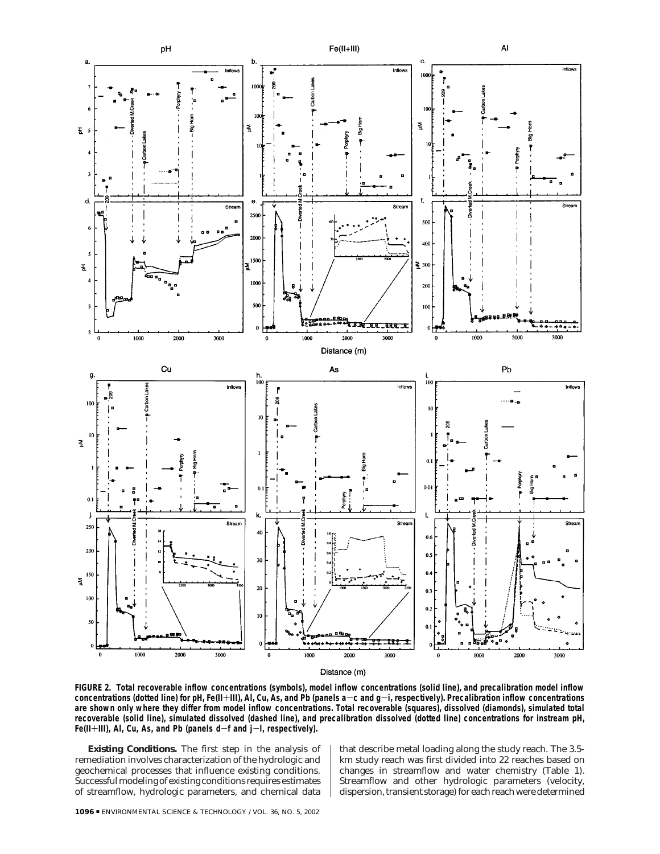



**FIGURE 2. Total recoverable inflow concentrations (symbols), model inflow concentrations (solid line), and precalibration model inflow concentrations (dotted line) for pH, Fe(II**+**III), Al, Cu, As, and Pb (panels a**-**c and g**-**i, respectively). Precalibration inflow concentrations are shown only where they differ from model inflow concentrations. Total recoverable (squares), dissolved (diamonds), simulated total recoverable (solid line), simulated dissolved (dashed line), and precalibration dissolved (dotted line) concentrations for instream pH, Fe(II**+**III), Al, Cu, As, and Pb (panels d**-**f and j**-**l, respectively).**

**Existing Conditions.** The first step in the analysis of remediation involves characterization of the hydrologic and geochemical processes that influence existing conditions. Successful modeling of existing conditions requires estimates of streamflow, hydrologic parameters, and chemical data

that describe metal loading along the study reach. The 3.5 km study reach was first divided into 22 reaches based on changes in streamflow and water chemistry (Table 1). Streamflow and other hydrologic parameters (velocity, dispersion, transient storage) for each reach were determined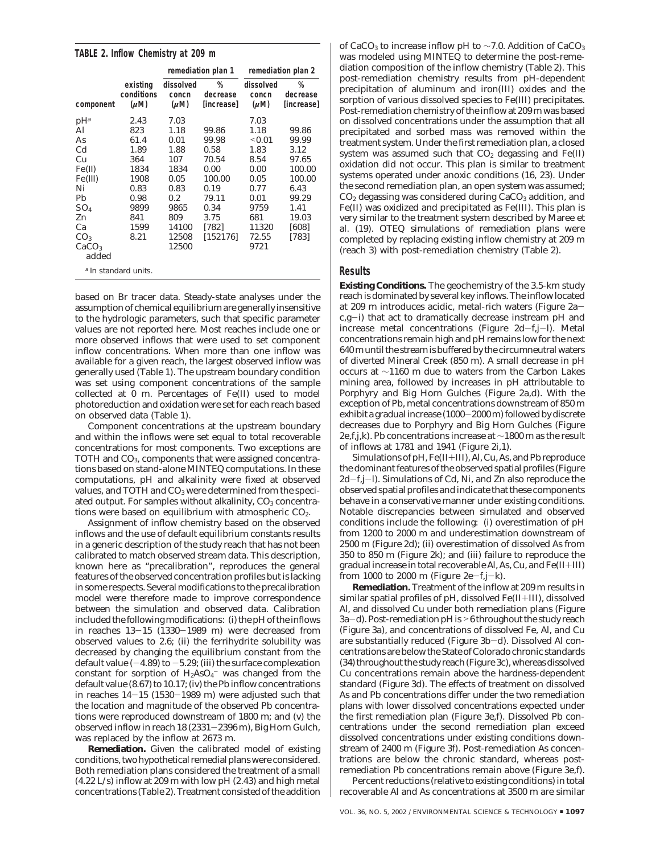### **TABLE 2. Inflow Chemistry at 209 m**

|                                                                                                                                                 |                                                                                                   | remediation plan 1                                                                                           |                                                                                                         | remediation plan 2                                                                                              |                                                                                                         |
|-------------------------------------------------------------------------------------------------------------------------------------------------|---------------------------------------------------------------------------------------------------|--------------------------------------------------------------------------------------------------------------|---------------------------------------------------------------------------------------------------------|-----------------------------------------------------------------------------------------------------------------|---------------------------------------------------------------------------------------------------------|
| component                                                                                                                                       | existing<br>conditions<br>$(\mu M)$                                                               | dissolved<br>concn<br>$(\mu M)$                                                                              | %<br>decrease<br>[increase]                                                                             | dissolved<br>concn<br>$(\mu M)$                                                                                 | %<br>decrease<br><i>lincreasel</i>                                                                      |
| $pH^a$<br>AI<br>As<br>Cd<br>Cu<br>Fe(II)<br>Fe(III)<br>Ni<br>Pb<br>SO <sub>4</sub><br>Zn<br>Cа<br>CO <sub>3</sub><br>CaCO <sub>3</sub><br>added | 2.43<br>823<br>61.4<br>1.89<br>364<br>1834<br>1908<br>0.83<br>0.98<br>9899<br>841<br>1599<br>8.21 | 7.03<br>1.18<br>0.01<br>1.88<br>107<br>1834<br>0.05<br>0.83<br>0.2<br>9865<br>809<br>14100<br>12508<br>12500 | 99.86<br>99.98<br>0.58<br>70.54<br>0.00<br>100.00<br>0.19<br>79.11<br>0.34<br>3.75<br>[782]<br>[152176] | 7.03<br>1.18<br>< 0.01<br>1.83<br>8.54<br>0.00<br>0.05<br>0.77<br>0.01<br>9759<br>681<br>11320<br>72.55<br>9721 | 99.86<br>99.99<br>3.12<br>97.65<br>100.00<br>100.00<br>6.43<br>99.29<br>1.41<br>19.03<br>[608]<br>[783] |
|                                                                                                                                                 | <sup>a</sup> In standard units.                                                                   |                                                                                                              |                                                                                                         |                                                                                                                 |                                                                                                         |

based on Br tracer data. Steady-state analyses under the assumption of chemical equilibrium are generally insensitive to the hydrologic parameters, such that specific parameter values are not reported here. Most reaches include one or more observed inflows that were used to set component inflow concentrations. When more than one inflow was available for a given reach, the largest observed inflow was generally used (Table 1). The upstream boundary condition was set using component concentrations of the sample collected at 0 m. Percentages of Fe(II) used to model photoreduction and oxidation were set for each reach based on observed data (Table 1).

Component concentrations at the upstream boundary and within the inflows were set equal to total recoverable concentrations for most components. Two exceptions are TOTH and CO<sub>3</sub>, components that were assigned concentrations based on stand-alone MINTEQ computations. In these computations, pH and alkalinity were fixed at observed values, and TOTH and CO<sub>3</sub> were determined from the speciated output. For samples without alkalinity,  $CO<sub>3</sub>$  concentrations were based on equilibrium with atmospheric  $CO<sub>2</sub>$ .

Assignment of inflow chemistry based on the observed inflows and the use of default equilibrium constants results in a generic description of the study reach that has not been calibrated to match observed stream data. This description, known here as "precalibration", reproduces the general features of the observed concentration profiles but is lacking in some respects. Several modifications to the precalibration model were therefore made to improve correspondence between the simulation and observed data. Calibration included the following modifications: (i) the pH of the inflows in reaches  $13-15$   $(1330-1989$  m) were decreased from observed values to 2.6; (ii) the ferrihydrite solubility was decreased by changing the equilibrium constant from the default value  $(-4.89)$  to  $-5.29$ ; (iii) the surface complexation constant for sorption of  $H_2AsO_4$ <sup>-</sup> was changed from the default value (8.67) to 10.17; (iv) the Pb inflow concentrations in reaches  $14-15$  (1530-1989 m) were adjusted such that the location and magnitude of the observed Pb concentrations were reproduced downstream of 1800 m; and (v) the observed inflow in reach 18 (2331-2396 m), Big Horn Gulch, was replaced by the inflow at 2673 m.

**Remediation.** Given the calibrated model of existing conditions, two hypothetical remedial plans were considered. Both remediation plans considered the treatment of a small (4.22 L/s) inflow at 209 m with low pH (2.43) and high metal concentrations (Table 2). Treatment consisted of the addition of CaCO<sub>3</sub> to increase inflow pH to ~7.0. Addition of CaCO<sub>3</sub> was modeled using MINTEQ to determine the post-remediation composition of the inflow chemistry (Table 2). This post-remediation chemistry results from pH-dependent precipitation of aluminum and iron(III) oxides and the sorption of various dissolved species to Fe(III) precipitates. Post-remediation chemistry of the inflow at 209 m was based on dissolved concentrations under the assumption that all precipitated and sorbed mass was removed within the treatment system. Under the first remediation plan, a closed system was assumed such that  $CO<sub>2</sub>$  degassing and Fe(II) oxidation did not occur. This plan is similar to treatment systems operated under anoxic conditions (*16*, *23*). Under the second remediation plan, an open system was assumed; CO<sub>2</sub> degassing was considered during CaCO<sub>3</sub> addition, and Fe(II) was oxidized and precipitated as Fe(III). This plan is very similar to the treatment system described by Maree et al. (*19*). OTEQ simulations of remediation plans were completed by replacing existing inflow chemistry at 209 m (reach 3) with post-remediation chemistry (Table 2).

## **Results**

**Existing Conditions.** The geochemistry of the 3.5-km study reach is dominated by several key inflows. The inflow located at 209 m introduces acidic, metal-rich waters (Figure 2ac,g-i) that act to dramatically decrease instream pH and increase metal concentrations (Figure 2d-f,j-l). Metal concentrations remain high and pH remains low for the next 640 m until the stream is buffered by the circumneutral waters of diverted Mineral Creek (850 m). A small decrease in pH occurs at ∼1160 m due to waters from the Carbon Lakes mining area, followed by increases in pH attributable to Porphyry and Big Horn Gulches (Figure 2a,d). With the exception of Pb, metal concentrations downstream of 850 m exhibit a gradual increase (1000-2000 m) followed by discrete decreases due to Porphyry and Big Horn Gulches (Figure 2e,f,j,k). Pb concentrations increase at ∼1800 m as the result of inflows at 1781 and 1941 (Figure 2i,1).

Simulations of pH, Fe(II+III), Al, Cu, As, and Pb reproduce the dominant features of the observed spatial profiles (Figure 2d-f,j-l). Simulations of Cd, Ni, and Zn also reproduce the observed spatial profiles and indicate that these components behave in a conservative manner under existing conditions. Notable discrepancies between simulated and observed conditions include the following: (i) overestimation of pH from 1200 to 2000 m and underestimation downstream of 2500 m (Figure 2d); (ii) overestimation of dissolved As from 350 to 850 m (Figure 2k); and (iii) failure to reproduce the gradual increase in total recoverable Al, As, Cu, and Fe(II+III) from 1000 to 2000 m (Figure 2e $-f$ ,j $-k$ ).

**Remediation.** Treatment of the inflow at 209 m results in similar spatial profiles of pH, dissolved Fe(II+III), dissolved Al, and dissolved Cu under both remediation plans (Figure  $3a-d$ ). Post-remediation pH is  $>6$  throughout the study reach (Figure 3a), and concentrations of dissolved Fe, Al, and Cu are substantially reduced (Figure 3b-d). Dissolved Al concentrations are below the State of Colorado chronic standards (*34*) throughout the study reach (Figure 3c), whereas dissolved Cu concentrations remain above the hardness-dependent standard (Figure 3d). The effects of treatment on dissolved As and Pb concentrations differ under the two remediation plans with lower dissolved concentrations expected under the first remediation plan (Figure 3e,f). Dissolved Pb concentrations under the second remediation plan exceed dissolved concentrations under existing conditions downstream of 2400 m (Figure 3f). Post-remediation As concentrations are below the chronic standard, whereas postremediation Pb concentrations remain above (Figure 3e,f).

Percent reductions (relative to existing conditions) in total recoverable Al and As concentrations at 3500 m are similar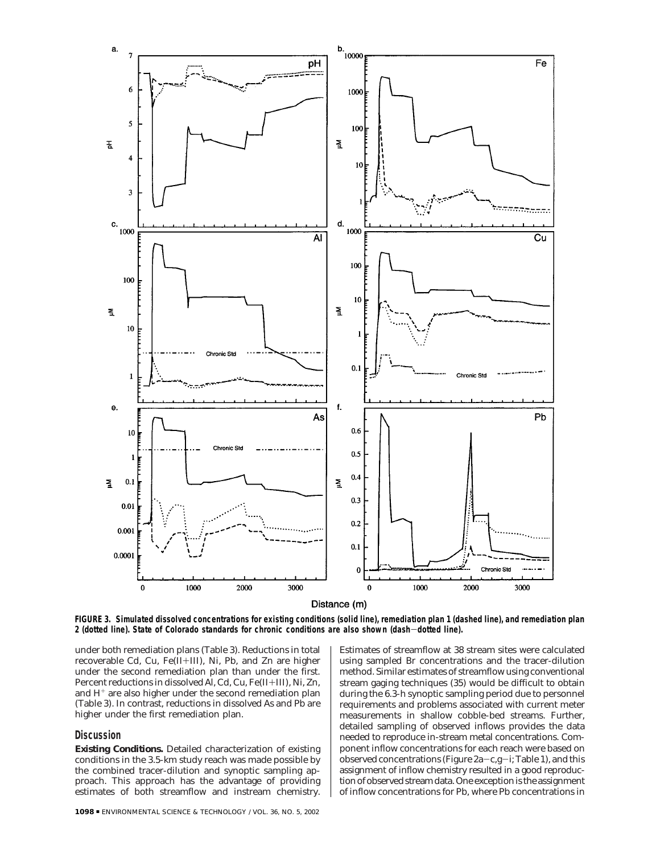

**FIGURE 3. Simulated dissolved concentrations for existing conditions (solid line), remediation plan 1 (dashed line), and remediation plan 2 (dotted line). State of Colorado standards for chronic conditions are also shown (dash**-**dotted line).**

under both remediation plans (Table 3). Reductions in total recoverable Cd, Cu, Fe(II+III), Ni, Pb, and Zn are higher under the second remediation plan than under the first. Percent reductions in dissolved Al, Cd, Cu, Fe(II+III), Ni, Zn, and H<sup>+</sup> are also higher under the second remediation plan (Table 3). In contrast, reductions in dissolved As and Pb are higher under the first remediation plan.

# **Discussion**

**Existing Conditions.** Detailed characterization of existing conditions in the 3.5-km study reach was made possible by the combined tracer-dilution and synoptic sampling approach. This approach has the advantage of providing estimates of both streamflow and instream chemistry. Estimates of streamflow at 38 stream sites were calculated using sampled Br concentrations and the tracer-dilution method. Similar estimates of streamflow using conventional stream gaging techniques (*35*) would be difficult to obtain during the 6.3-h synoptic sampling period due to personnel requirements and problems associated with current meter measurements in shallow cobble-bed streams. Further, detailed sampling of observed inflows provides the data needed to reproduce in-stream metal concentrations. Component inflow concentrations for each reach were based on observed concentrations (Figure  $2a-c, g-i$ ; Table 1), and this assignment of inflow chemistry resulted in a good reproduction of observed stream data. One exception is the assignment of inflow concentrations for Pb, where Pb concentrations in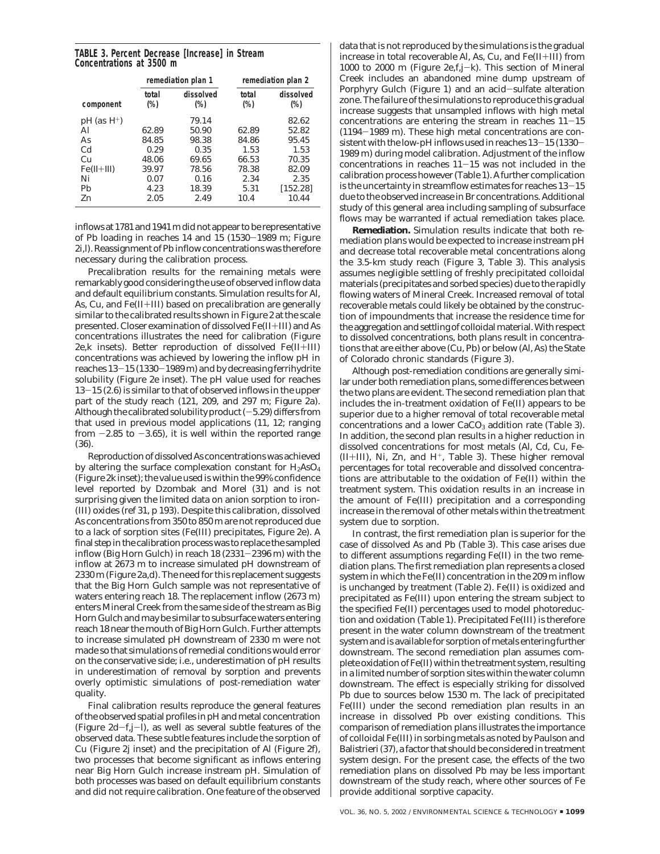### **TABLE 3. Percent Decrease [Increase] in Stream Concentrations at 3500 m**

|                  | remediation plan 1 |                     | remediation plan 2 |                     |  |
|------------------|--------------------|---------------------|--------------------|---------------------|--|
| component        | total<br>$(\%)$    | dissolved<br>$(\%)$ | total<br>$(\%)$    | dissolved<br>$(\%)$ |  |
| $pH$ (as $H^+$ ) |                    | 79.14               |                    | 82.62               |  |
| ΑI               | 62.89              | 50.90               | 62.89              | 52.82               |  |
| As               | 84.85              | 98.38               | 84.86              | 95.45               |  |
| Cd               | 0.29               | 0.35                | 1.53               | 1.53                |  |
| Сu               | 48.06              | 69.65               | 66.53              | 70.35               |  |
| $Fe (II + III)$  | 39.97              | 78.56               | 78.38              | 82.09               |  |
| Ni               | 0.07               | 0.16                | 2.34               | 2.35                |  |
| Pb               | 4.23               | 18.39               | 5.31               | [152.28]            |  |
| Zn               | 2.05               | 2.49                | 10.4               | 10.44               |  |

inflows at 1781 and 1941 m did not appear to be representative of Pb loading in reaches 14 and 15 (1530-1989 m; Figure 2i,l). Reassignment of Pb inflow concentrations was therefore necessary during the calibration process.

Precalibration results for the remaining metals were remarkably good considering the use of observed inflow data and default equilibrium constants. Simulation results for Al, As, Cu, and Fe(II+III) based on precalibration are generally similar to the calibrated results shown in Figure 2 at the scale presented. Closer examination of dissolved Fe(II+III) and As concentrations illustrates the need for calibration (Figure 2e,k insets). Better reproduction of dissolved Fe(II+III) concentrations was achieved by lowering the inflow pH in reaches 13-15 (1330-1989 m) and by decreasing ferrihydrite solubility (Figure 2e inset). The pH value used for reaches  $13-15$  (2.6) is similar to that of observed inflows in the upper part of the study reach (121, 209, and 297 m; Figure 2a). Although the calibrated solubility product  $(-5.29)$  differs from that used in previous model applications (*11*, *12*; ranging from  $-2.85$  to  $-3.65$ ), it is well within the reported range (*36*).

Reproduction of dissolved As concentrations was achieved by altering the surface complexation constant for  $H_2AsO_4$ (Figure 2k inset); the value used is within the 99% confidence level reported by Dzombak and Morel (*31*) and is not surprising given the limited data on anion sorption to iron- (III) oxides (ref *31*, p 193). Despite this calibration, dissolved As concentrations from 350 to 850 m are not reproduced due to a lack of sorption sites (Fe(III) precipitates, Figure 2e). A final step in the calibration process was to replace the sampled inflow (Big Horn Gulch) in reach 18 (2331-2396 m) with the inflow at 2673 m to increase simulated pH downstream of 2330 m (Figure 2a,d). The need for this replacement suggests that the Big Horn Gulch sample was not representative of waters entering reach 18. The replacement inflow (2673 m) enters Mineral Creek from the same side of the stream as Big Horn Gulch and may be similar to subsurface waters entering reach 18 near the mouth of Big Horn Gulch. Further attempts to increase simulated pH downstream of 2330 m were not made so that simulations of remedial conditions would error on the conservative side; i.e., underestimation of pH results in underestimation of removal by sorption and prevents overly optimistic simulations of post-remediation water quality.

Final calibration results reproduce the general features of the observed spatial profiles in pH and metal concentration (Figure  $2d-f$ ,j-l), as well as several subtle features of the observed data. These subtle features include the sorption of Cu (Figure 2j inset) and the precipitation of Al (Figure 2f), two processes that become significant as inflows entering near Big Horn Gulch increase instream pH. Simulation of both processes was based on default equilibrium constants and did not require calibration. One feature of the observed data that is not reproduced by the simulations is the gradual increase in total recoverable Al, As, Cu, and Fe(II+III) from 1000 to 2000 m (Figure 2e,f,j-k). This section of Mineral Creek includes an abandoned mine dump upstream of Porphyry Gulch (Figure 1) and an acid-sulfate alteration zone. The failure of the simulations to reproduce this gradual increase suggests that unsampled inflows with high metal concentrations are entering the stream in reaches  $11-15$ (1194-1989 m). These high metal concentrations are consistent with the low-pH inflows used in reaches 13-15 (1330- 1989 m) during model calibration. Adjustment of the inflow concentrations in reaches  $11-15$  was not included in the calibration process however (Table 1). A further complication is the uncertainty in streamflow estimates for reaches 13-<sup>15</sup> due to the observed increase in Br concentrations. Additional study of this general area including sampling of subsurface flows may be warranted if actual remediation takes place.

**Remediation.** Simulation results indicate that both remediation plans would be expected to increase instream pH and decrease total recoverable metal concentrations along the 3.5-km study reach (Figure 3, Table 3). This analysis assumes negligible settling of freshly precipitated colloidal materials (precipitates and sorbed species) due to the rapidly flowing waters of Mineral Creek. Increased removal of total recoverable metals could likely be obtained by the construction of impoundments that increase the residence time for the aggregation and settling of colloidal material. With respect to dissolved concentrations, both plans result in concentrations that are either above (Cu, Pb) or below (Al, As) the State of Colorado chronic standards (Figure 3).

Although post-remediation conditions are generally similar under both remediation plans, some differences between the two plans are evident. The second remediation plan that includes the in-treatment oxidation of Fe(II) appears to be superior due to a higher removal of total recoverable metal concentrations and a lower CaCO<sub>3</sub> addition rate (Table 3). In addition, the second plan results in a higher reduction in dissolved concentrations for most metals (Al, Cd, Cu, Fe-  $(II+III)$ , Ni, Zn, and H<sup>+</sup>, Table 3). These higher removal percentages for total recoverable and dissolved concentrations are attributable to the oxidation of Fe(II) within the treatment system. This oxidation results in an increase in the amount of Fe(III) precipitation and a corresponding increase in the removal of other metals within the treatment system due to sorption.

In contrast, the first remediation plan is superior for the case of dissolved As and Pb (Table 3). This case arises due to different assumptions regarding Fe(II) in the two remediation plans. The first remediation plan represents a closed system in which the Fe(II) concentration in the 209 m inflow is unchanged by treatment (Table 2). Fe(II) is oxidized and precipitated as Fe(III) upon entering the stream subject to the specified Fe(II) percentages used to model photoreduction and oxidation (Table 1). Precipitated Fe(III) is therefore present in the water column downstream of the treatment system and is available for sorption of metals entering further downstream. The second remediation plan assumes complete oxidation of Fe(II) within the treatment system, resulting in a limited number of sorption sites within the water column downstream. The effect is especially striking for dissolved Pb due to sources below 1530 m. The lack of precipitated Fe(III) under the second remediation plan results in an increase in dissolved Pb over existing conditions. This comparison of remediation plans illustrates the importance of colloidal Fe(III) in sorbing metals as noted by Paulson and Balistrieri (*37*), a factor that should be considered in treatment system design. For the present case, the effects of the two remediation plans on dissolved Pb may be less important downstream of the study reach, where other sources of Fe provide additional sorptive capacity.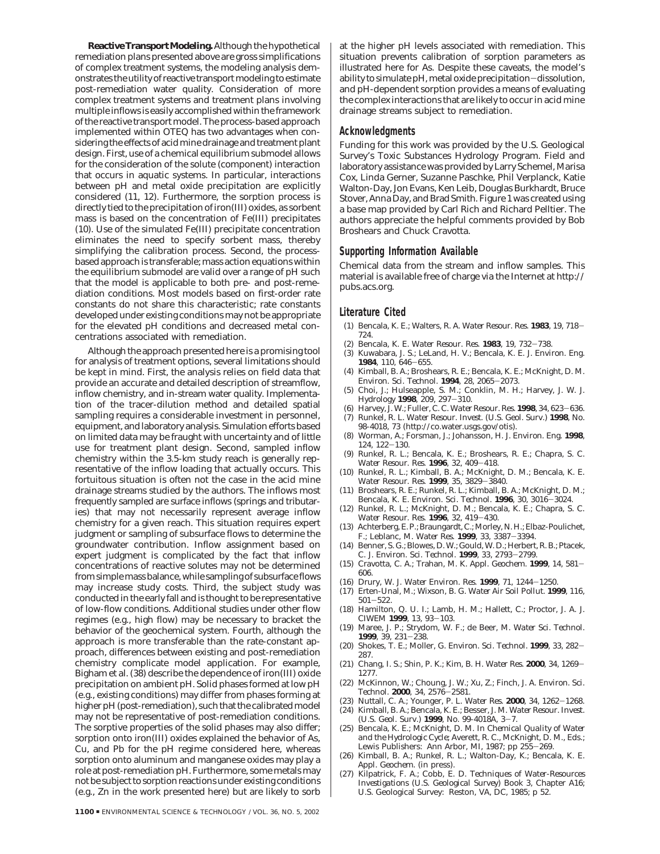**Reactive Transport Modeling.** Although the hypothetical remediation plans presented above are gross simplifications of complex treatment systems, the modeling analysis demonstrates the utility of reactive transport modeling to estimate post-remediation water quality. Consideration of more complex treatment systems and treatment plans involving multiple inflows is easily accomplished within the framework of the reactive transport model. The process-based approach implemented within OTEQ has two advantages when considering the effects of acid mine drainage and treatment plant design. First, use of a chemical equilibrium submodel allows for the consideration of the solute (component) interaction that occurs in aquatic systems. In particular, interactions between pH and metal oxide precipitation are explicitly considered (*11*, *12*). Furthermore, the sorption process is directly tied to the precipitation of iron(III) oxides, as sorbent mass is based on the concentration of Fe(III) precipitates (*10*). Use of the simulated Fe(III) precipitate concentration eliminates the need to specify sorbent mass, thereby simplifying the calibration process. Second, the processbased approach is transferable; mass action equations within the equilibrium submodel are valid over a range of pH such that the model is applicable to both pre- and post-remediation conditions. Most models based on first-order rate constants do not share this characteristic; rate constants developed under existing conditions may not be appropriate for the elevated pH conditions and decreased metal concentrations associated with remediation.

Although the approach presented here is a promising tool for analysis of treatment options, several limitations should be kept in mind. First, the analysis relies on field data that provide an accurate and detailed description of streamflow, inflow chemistry, and in-stream water quality. Implementation of the tracer-dilution method and detailed spatial sampling requires a considerable investment in personnel, equipment, and laboratory analysis. Simulation efforts based on limited data may be fraught with uncertainty and of little use for treatment plant design. Second, sampled inflow chemistry within the 3.5-km study reach is generally representative of the inflow loading that actually occurs. This fortuitous situation is often not the case in the acid mine drainage streams studied by the authors. The inflows most frequently sampled are surface inflows (springs and tributaries) that may not necessarily represent average inflow chemistry for a given reach. This situation requires expert judgment or sampling of subsurface flows to determine the groundwater contribution. Inflow assignment based on expert judgment is complicated by the fact that inflow concentrations of reactive solutes may not be determined from simple mass balance, while sampling of subsurface flows may increase study costs. Third, the subject study was conducted in the early fall and is thought to be representative of low-flow conditions. Additional studies under other flow regimes (e.g., high flow) may be necessary to bracket the behavior of the geochemical system. Fourth, although the approach is more transferable than the rate-constant approach, differences between existing and post-remediation chemistry complicate model application. For example, Bigham et al. (*38*) describe the dependence of iron(III) oxide precipitation on ambient pH. Solid phases formed at low pH (e.g., existing conditions) may differ from phases forming at higher pH (post-remediation), such that the calibrated model may not be representative of post-remediation conditions. The sorptive properties of the solid phases may also differ; sorption onto iron(III) oxides explained the behavior of As, Cu, and Pb for the pH regime considered here, whereas sorption onto aluminum and manganese oxides may play a role at post-remediation pH. Furthermore, some metals may not be subject to sorption reactions under existing conditions (e.g., Zn in the work presented here) but are likely to sorb

at the higher pH levels associated with remediation. This situation prevents calibration of sorption parameters as illustrated here for As. Despite these caveats, the model's ability to simulate pH, metal oxide precipitation-dissolution, and pH-dependent sorption provides a means of evaluating the complex interactions that are likely to occur in acid mine drainage streams subject to remediation.

### **Acknowledgments**

Funding for this work was provided by the U.S. Geological Survey's Toxic Substances Hydrology Program. Field and laboratory assistance was provided by Larry Schemel, Marisa Cox, Linda Gerner, Suzanne Paschke, Phil Verplanck, Katie Walton-Day, Jon Evans, Ken Leib, Douglas Burkhardt, Bruce Stover, Anna Day, and Brad Smith. Figure 1 was created using a base map provided by Carl Rich and Richard Pelltier. The authors appreciate the helpful comments provided by Bob Broshears and Chuck Cravotta.

#### **Supporting Information Available**

Chemical data from the stream and inflow samples. This material is available free of charge via the Internet at http:// pubs.acs.org.

### **Literature Cited**

- (1) Bencala, K. E.; Walters, R. A. *Water Resour. Res.* **<sup>1983</sup>**, *<sup>19</sup>*, 718- 724.
- (2) Bencala, K. E. *Water Resour. Res.* **<sup>1983</sup>**, *<sup>19</sup>*, 732-738.
- (3) Kuwabara, J. S.; LeLand, H. V.; Bencala, K. E. *J. Environ. Eng.* **<sup>1984</sup>**, *<sup>110</sup>*, 646-655. (4) Kimball, B. A.; Broshears, R. E.; Bencala, K. E.; McKnight, D. M.
- *Environ. Sci. Technol.* **<sup>1994</sup>**, *<sup>28</sup>*, 2065-2073.
- (5) Choi, J.; Hulseapple, S. M.; Conklin, M. H.; Harvey, J. W. *J. Hydrology* **<sup>1998</sup>**, *<sup>209</sup>*, 297-310.
- (6) Harvey, J. W.; Fuller, C. C. *Water Resour. Res.* **<sup>1998</sup>**, *<sup>34</sup>*, 623-636. (7) Runkel, R. L. *Water Resour. Invest.* (*U.S. Geol. Surv.*) **1998**, *No.*
- 98-*4018*, 73 (http://co.water.usgs.gov/otis). (8) Worman, A.; Forsman, J.; Johansson, H. *J. Environ. Eng.* **1998**,
- *<sup>124</sup>*, 122-130. (9) Runkel, R. L.; Bencala, K. E.; Broshears, R. E.; Chapra, S. C. *Water Resour. Res.* **<sup>1996</sup>**, *<sup>32</sup>*, 409-418.
- (10) Runkel, R. L.; Kimball, B. A.; McKnight, D. M.; Bencala, K. E. *Water Resour. Res.* **<sup>1999</sup>**, *<sup>35</sup>*, 3829-3840.
- (11) Broshears, R. E.; Runkel, R. L.; Kimball, B. A.; McKnight, D. M.; Bencala, K. E. *Environ. Sci. Technol.* **<sup>1996</sup>**, *<sup>30</sup>*, 3016-3024.
- (12) Runkel, R. L.; McKnight, D. M.; Bencala, K. E.; Chapra, S. C.
- *Water Resour. Res.* **<sup>1996</sup>**, *<sup>32</sup>*, 419-430. (13) Achterberg, E. P.; Braungardt, C.; Morley, N. H.; Elbaz-Poulichet, F.; Leblanc, M. *Water Res.* **<sup>1999</sup>**, *<sup>33</sup>*, 3387-3394.
- (14) Benner, S. G.; Blowes, D. W.; Gould, W. D.; Herbert, R. B.; Ptacek, <sup>C</sup>*.* J. *Environ. Sci. Technol.* **<sup>1999</sup>**, *<sup>33</sup>*, 2793-2799.
- (15) Cravotta, C. A.; Trahan, M. K. *Appl. Geochem.* **<sup>1999</sup>**, *<sup>14</sup>*, 581- 606.
- (16) Drury, W. J. *Water Environ. Res.* **<sup>1999</sup>**, *<sup>71</sup>*, 1244-1250.
- (17) Erten-Unal, M.; Wixson, B. G. *Water Air Soil Pollut.* **1999**, *116*,
- <sup>501</sup>-522. (18) Hamilton, Q. U. I.; Lamb, H. M.; Hallett, C.; Proctor, J. A. *J. CIWEM* **<sup>1999</sup>**, *<sup>13</sup>*, 93-103.
- (19) Maree, J. P.; Strydom, W. F.; de Beer, M. *Water Sci. Technol.* **<sup>1999</sup>**, *<sup>39</sup>*, 231-238.
- (20) Shokes, T. E.; Moller, G. *Environ. Sci. Technol.* **<sup>1999</sup>**, *<sup>33</sup>*, 282- 287.
- (21) Chang, I. S.; Shin, P. K.; Kim, B. H. *Water Res.* **<sup>2000</sup>**, *<sup>34</sup>*, 1269- 1277.
- (22) McKinnon, W.; Choung, J. W.; Xu, Z.; Finch, J. A. *Environ. Sci. Technol.* **<sup>2000</sup>**, *<sup>34</sup>*, 2576-2581.
- (23) Nuttall, C. A.; Younger, P. L. *Water Res.* **<sup>2000</sup>**, *<sup>34</sup>*, 1262-1268.
- (24) Kimball, B. A.; Bencala, K. E.; Besser, J. M. *Water Resour. Invest.*
- (*U*.*S*. *Geol*. *Surv*.) **<sup>1999</sup>**, *No.* 99-*4018A*, 3-7. (25) Bencala, K. E.; McKnight, D. M. In *Chemical Quality of Water and the Hydrologic Cycle*; Averett, R. C., McKnight, D. M., Eds.; Lewis Publishers: Ann Arbor, MI, 1987; pp 255-269.
- (26) Kimball, B. A.; Runkel, R. L.; Walton-Day, K.; Bencala, K. E. *Appl. Geochem.* (in press).
- (27) Kilpatrick, F. A.; Cobb, E. D. *Techniques of Water-Resources Investigations* (*U.S. Geological Survey*) Book 3, Chapter A16; U.S. Geological Survey: Reston, VA, DC, 1985; p 52.